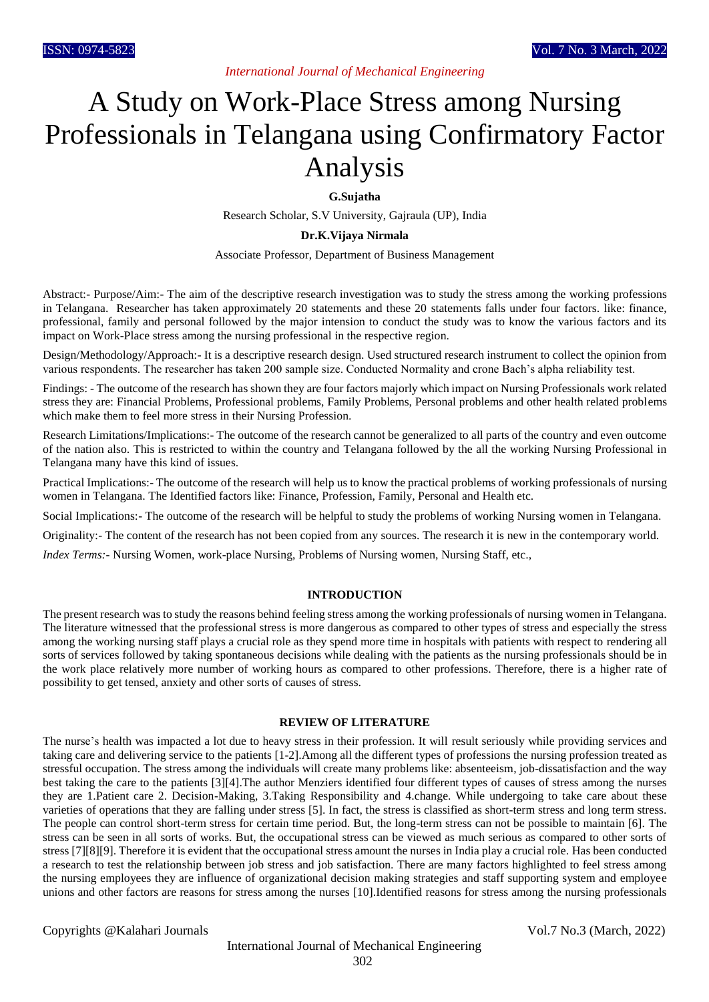*International Journal of Mechanical Engineering*

# A Study on Work-Place Stress among Nursing Professionals in Telangana using Confirmatory Factor Analysis

**G.Sujatha**

Research Scholar, S.V University, Gajraula (UP), India

#### **Dr.K.Vijaya Nirmala**

Associate Professor, Department of Business Management

Abstract:- Purpose/Aim:- The aim of the descriptive research investigation was to study the stress among the working professions in Telangana. Researcher has taken approximately 20 statements and these 20 statements falls under four factors. like: finance, professional, family and personal followed by the major intension to conduct the study was to know the various factors and its impact on Work-Place stress among the nursing professional in the respective region.

Design/Methodology/Approach:- It is a descriptive research design. Used structured research instrument to collect the opinion from various respondents. The researcher has taken 200 sample size. Conducted Normality and crone Bach's alpha reliability test.

Findings: - The outcome of the research has shown they are four factors majorly which impact on Nursing Professionals work related stress they are: Financial Problems, Professional problems, Family Problems, Personal problems and other health related problems which make them to feel more stress in their Nursing Profession.

Research Limitations/Implications:- The outcome of the research cannot be generalized to all parts of the country and even outcome of the nation also. This is restricted to within the country and Telangana followed by the all the working Nursing Professional in Telangana many have this kind of issues.

Practical Implications:- The outcome of the research will help us to know the practical problems of working professionals of nursing women in Telangana. The Identified factors like: Finance, Profession, Family, Personal and Health etc.

Social Implications:- The outcome of the research will be helpful to study the problems of working Nursing women in Telangana.

Originality:- The content of the research has not been copied from any sources. The research it is new in the contemporary world.

*Index Terms:-* Nursing Women, work-place Nursing, Problems of Nursing women, Nursing Staff, etc.,

#### **INTRODUCTION**

The present research was to study the reasons behind feeling stress among the working professionals of nursing women in Telangana. The literature witnessed that the professional stress is more dangerous as compared to other types of stress and especially the stress among the working nursing staff plays a crucial role as they spend more time in hospitals with patients with respect to rendering all sorts of services followed by taking spontaneous decisions while dealing with the patients as the nursing professionals should be in the work place relatively more number of working hours as compared to other professions. Therefore, there is a higher rate of possibility to get tensed, anxiety and other sorts of causes of stress.

#### **REVIEW OF LITERATURE**

The nurse's health was impacted a lot due to heavy stress in their profession. It will result seriously while providing services and taking care and delivering service to the patients [1-2].Among all the different types of professions the nursing profession treated as stressful occupation. The stress among the individuals will create many problems like: absenteeism, job-dissatisfaction and the way best taking the care to the patients [3][4].The author Menziers identified four different types of causes of stress among the nurses they are 1.Patient care 2. Decision-Making, 3.Taking Responsibility and 4.change. While undergoing to take care about these varieties of operations that they are falling under stress [5]. In fact, the stress is classified as short-term stress and long term stress. The people can control short-term stress for certain time period. But, the long-term stress can not be possible to maintain [6]. The stress can be seen in all sorts of works. But, the occupational stress can be viewed as much serious as compared to other sorts of stress [7][8][9]. Therefore it is evident that the occupational stress amount the nurses in India play a crucial role. Has been conducted a research to test the relationship between job stress and job satisfaction. There are many factors highlighted to feel stress among the nursing employees they are influence of organizational decision making strategies and staff supporting system and employee unions and other factors are reasons for stress among the nurses [10].Identified reasons for stress among the nursing professionals

Copyrights @Kalahari Journals Vol.7 No.3 (March, 2022)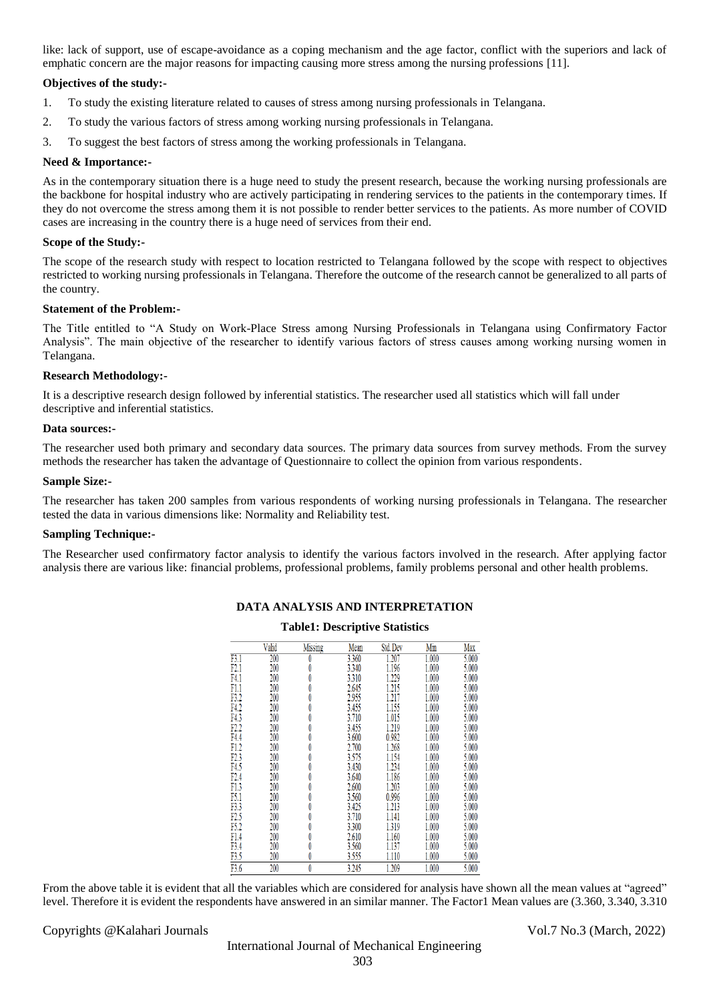like: lack of support, use of escape-avoidance as a coping mechanism and the age factor, conflict with the superiors and lack of emphatic concern are the major reasons for impacting causing more stress among the nursing professions [11].

#### **Objectives of the study:-**

- 1. To study the existing literature related to causes of stress among nursing professionals in Telangana.
- 2. To study the various factors of stress among working nursing professionals in Telangana.
- 3. To suggest the best factors of stress among the working professionals in Telangana.

#### **Need & Importance:-**

As in the contemporary situation there is a huge need to study the present research, because the working nursing professionals are the backbone for hospital industry who are actively participating in rendering services to the patients in the contemporary times. If they do not overcome the stress among them it is not possible to render better services to the patients. As more number of COVID cases are increasing in the country there is a huge need of services from their end.

#### **Scope of the Study:-**

The scope of the research study with respect to location restricted to Telangana followed by the scope with respect to objectives restricted to working nursing professionals in Telangana. Therefore the outcome of the research cannot be generalized to all parts of the country.

#### **Statement of the Problem:-**

The Title entitled to "A Study on Work-Place Stress among Nursing Professionals in Telangana using Confirmatory Factor Analysis". The main objective of the researcher to identify various factors of stress causes among working nursing women in Telangana.

#### **Research Methodology:-**

It is a descriptive research design followed by inferential statistics. The researcher used all statistics which will fall under descriptive and inferential statistics.

#### **Data sources:-**

The researcher used both primary and secondary data sources. The primary data sources from survey methods. From the survey methods the researcher has taken the advantage of Questionnaire to collect the opinion from various respondents.

#### **Sample Size:-**

The researcher has taken 200 samples from various respondents of working nursing professionals in Telangana. The researcher tested the data in various dimensions like: Normality and Reliability test.

#### **Sampling Technique:-**

The Researcher used confirmatory factor analysis to identify the various factors involved in the research. After applying factor analysis there are various like: financial problems, professional problems, family problems personal and other health problems.

|      | Valid | Missing | Mean  | Std. Dev | Min   | Max   |
|------|-------|---------|-------|----------|-------|-------|
| F3.1 | 200   | O       | 3.360 | 1.207    | 1.000 | 5.000 |
| F2.1 | 200   | 0       | 3.340 | 1.196    | 1.000 | 5.000 |
| F4.1 | 200   | 0       | 3.310 | 1.229    | 1.000 | 5.000 |
| F1.1 | 200   | 0       | 2.645 | 1.215    | 1.000 | 5.000 |
| F3.2 | 200   | 0       | 2.955 | 1.217    | 1.000 | 5.000 |
| F4.2 | 200   | 0       | 3.455 | 1.155    | 1.000 | 5.000 |
| F4.3 | 200   | 0       | 3.710 | 1.015    | 1.000 | 5.000 |
| F2.2 | 200   | 0       | 3.455 | 1.219    | 1.000 | 5.000 |
| F4.4 | 200   | 0       | 3.600 | 0.982    | 1.000 | 5.000 |
| F1.2 | 200   | 0       | 2.700 | 1.268    | 1.000 | 5.000 |
| F2.3 | 200   | 0       | 3.575 | 1.154    | 1.000 | 5.000 |
| F4.5 | 200   | 0       | 3.430 | 1.234    | 1.000 | 5.000 |
| F2.4 | 200   | 0       | 3.640 | 1.186    | 1.000 | 5.000 |
| F1.3 | 200   | 0       | 2.600 | 1.203    | 1.000 | 5.000 |
| F5.1 | 200   | 0       | 3.560 | 0.996    | 1.000 | 5.000 |
| F3.3 | 200   | 0       | 3.425 | 1.213    | 1.000 | 5.000 |
| F2.5 | 200   | 0       | 3.710 | 1.141    | 1.000 | 5.000 |
| F5.2 | 200   | 0       | 3.300 | 1.319    | 1.000 | 5.000 |
| F1.4 | 200   | 0       | 2.610 | 1.160    | 1.000 | 5.000 |
| F3.4 | 200   | 0       | 3.560 | 1.137    | 1.000 | 5.000 |
| F3.5 | 200   | 0       | 3.555 | 1.110    | 1.000 | 5.000 |
| F3.6 | 200   | 0       | 3.245 | 1.209    | 1.000 | 5.000 |

## **DATA ANALYSIS AND INTERPRETATION Table1: Descriptive Statistics**

### From the above table it is evident that all the variables which are considered for analysis have shown all the mean values at "agreed" level. Therefore it is evident the respondents have answered in an similar manner. The Factor1 Mean values are (3.360, 3.340, 3.310

Copyrights @Kalahari Journals Vol.7 No.3 (March, 2022)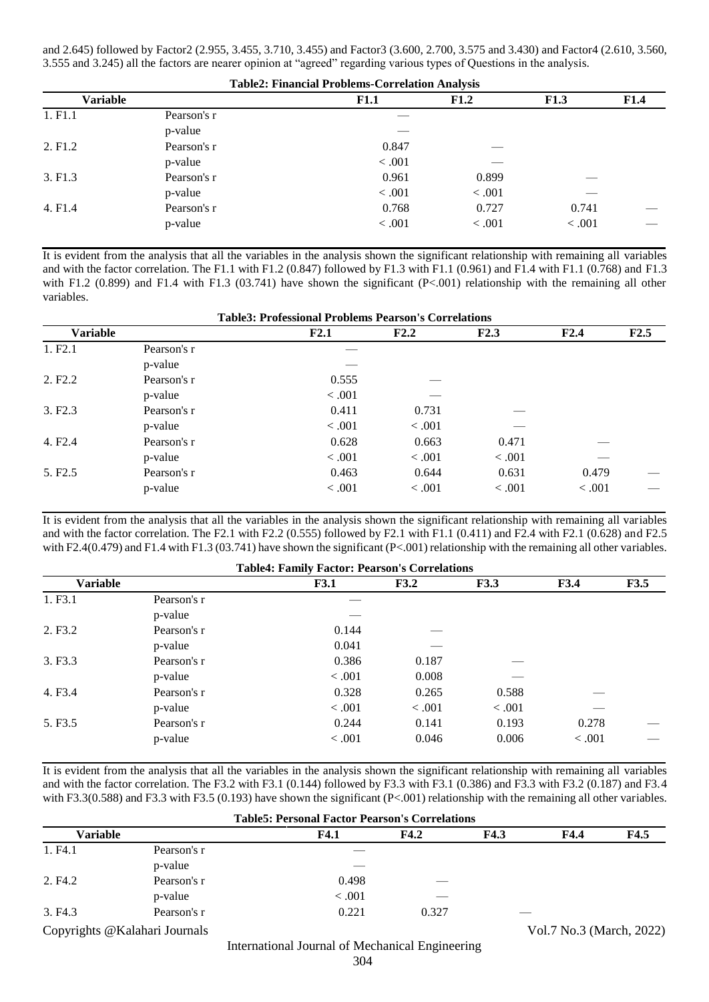and 2.645) followed by Factor2 (2.955, 3.455, 3.710, 3.455) and Factor3 (3.600, 2.700, 3.575 and 3.430) and Factor4 (2.610, 3.560, 3.555 and 3.245) all the factors are nearer opinion at "agreed" regarding various types of Questions in the analysis.

| <b>Table2: Financial Problems-Correlation Analysis</b> |             |        |         |        |             |  |  |
|--------------------------------------------------------|-------------|--------|---------|--------|-------------|--|--|
| <b>Variable</b>                                        |             | F1.1   | F1.2    | F1.3   | <b>F1.4</b> |  |  |
| 1. F <sub>1.1</sub>                                    | Pearson's r |        |         |        |             |  |  |
|                                                        | p-value     |        |         |        |             |  |  |
| 2. F <sub>1.2</sub>                                    | Pearson's r | 0.847  |         |        |             |  |  |
|                                                        | p-value     | < .001 |         |        |             |  |  |
| 3. F1.3                                                | Pearson's r | 0.961  | 0.899   |        |             |  |  |
|                                                        | p-value     | < .001 | < .001  |        |             |  |  |
| 4. F <sub>1.4</sub>                                    | Pearson's r | 0.768  | 0.727   | 0.741  |             |  |  |
|                                                        | p-value     | < .001 | < 0.001 | < .001 |             |  |  |

It is evident from the analysis that all the variables in the analysis shown the significant relationship with remaining all variables and with the factor correlation. The F1.1 with F1.2 (0.847) followed by F1.3 with F1.1 (0.961) and F1.4 with F1.1 (0.768) and F1.3 with F1.2 (0.899) and F1.4 with F1.3 (03.741) have shown the significant  $(P<.001)$  relationship with the remaining all other variables.

|                     | <b>Table3: Professional Problems Pearson's Correlations</b> |                 |                  |                  |                 |      |  |  |
|---------------------|-------------------------------------------------------------|-----------------|------------------|------------------|-----------------|------|--|--|
| <b>Variable</b>     |                                                             | F2.1            | F2.2             | F2.3             | F2.4            | F2.5 |  |  |
| 1. F <sub>2.1</sub> | Pearson's r<br>p-value                                      |                 |                  |                  |                 |      |  |  |
| 2. F <sub>2.2</sub> | Pearson's r<br>p-value                                      | 0.555<br>< .001 |                  |                  |                 |      |  |  |
| 3. F2.3             | Pearson's r<br>p-value                                      | 0.411<br>< .001 | 0.731<br>< 0.001 |                  |                 |      |  |  |
| 4. F <sub>2.4</sub> | Pearson's r<br>p-value                                      | 0.628<br>< .001 | 0.663<br>< 0.001 | 0.471<br>< 0.001 |                 |      |  |  |
| 5. F <sub>2.5</sub> | Pearson's r<br>p-value                                      | 0.463<br>< .001 | 0.644<br>< .001  | 0.631<br>< .001  | 0.479<br>< .001 |      |  |  |

It is evident from the analysis that all the variables in the analysis shown the significant relationship with remaining all variables and with the factor correlation. The F2.1 with F2.2 (0.555) followed by F2.1 with F1.1 (0.411) and F2.4 with F2.1 (0.628) and F2.5 with F2.4(0.479) and F1.4 with F1.3 (03.741) have shown the significant (P<.001) relationship with the remaining all other variables.

| <b>Table4: Family Factor: Pearson's Correlations</b> |             |             |        |             |             |      |  |  |
|------------------------------------------------------|-------------|-------------|--------|-------------|-------------|------|--|--|
| <b>Variable</b>                                      |             | <b>F3.1</b> | F3.2   | <b>F3.3</b> | <b>F3.4</b> | F3.5 |  |  |
| 1. F <sub>3.1</sub>                                  | Pearson's r |             |        |             |             |      |  |  |
|                                                      | p-value     |             |        |             |             |      |  |  |
| 2. F3.2                                              | Pearson's r | 0.144       |        |             |             |      |  |  |
|                                                      | p-value     | 0.041       |        |             |             |      |  |  |
| 3. F3.3                                              | Pearson's r | 0.386       | 0.187  |             |             |      |  |  |
|                                                      | p-value     | < .001      | 0.008  |             |             |      |  |  |
| 4. F <sub>3.4</sub>                                  | Pearson's r | 0.328       | 0.265  | 0.588       |             |      |  |  |
|                                                      | p-value     | < .001      | < .001 | < .001      |             |      |  |  |
| 5. F3.5                                              | Pearson's r | 0.244       | 0.141  | 0.193       | 0.278       |      |  |  |
|                                                      | p-value     | < 0.001     | 0.046  | 0.006       | < 0.001     |      |  |  |

It is evident from the analysis that all the variables in the analysis shown the significant relationship with remaining all variables and with the factor correlation. The F3.2 with F3.1 (0.144) followed by F3.3 with F3.1 (0.386) and F3.3 with F3.2 (0.187) and F3.4 with F3.3(0.588) and F3.3 with F3.5 (0.193) have shown the significant (P<.001) relationship with the remaining all other variables.

| <b>Table5: Personal Factor Pearson's Correlations</b> |             |             |       |      |                          |      |  |  |
|-------------------------------------------------------|-------------|-------------|-------|------|--------------------------|------|--|--|
| Variable                                              |             | <b>F4.1</b> | F4.2  | F4.3 | F4.4                     | F4.5 |  |  |
| 1. F4.1                                               | Pearson's r |             |       |      |                          |      |  |  |
|                                                       | p-value     |             |       |      |                          |      |  |  |
| 2. F4.2                                               | Pearson's r | 0.498       | ___   |      |                          |      |  |  |
|                                                       | p-value     | < 0.001     | ___   |      |                          |      |  |  |
| 3. F <sub>4.3</sub>                                   | Pearson's r | 0.221       | 0.327 |      |                          |      |  |  |
| Copyrights @Kalahari Journals                         |             |             |       |      | Vol.7 No.3 (March, 2022) |      |  |  |

International Journal of Mechanical Engineering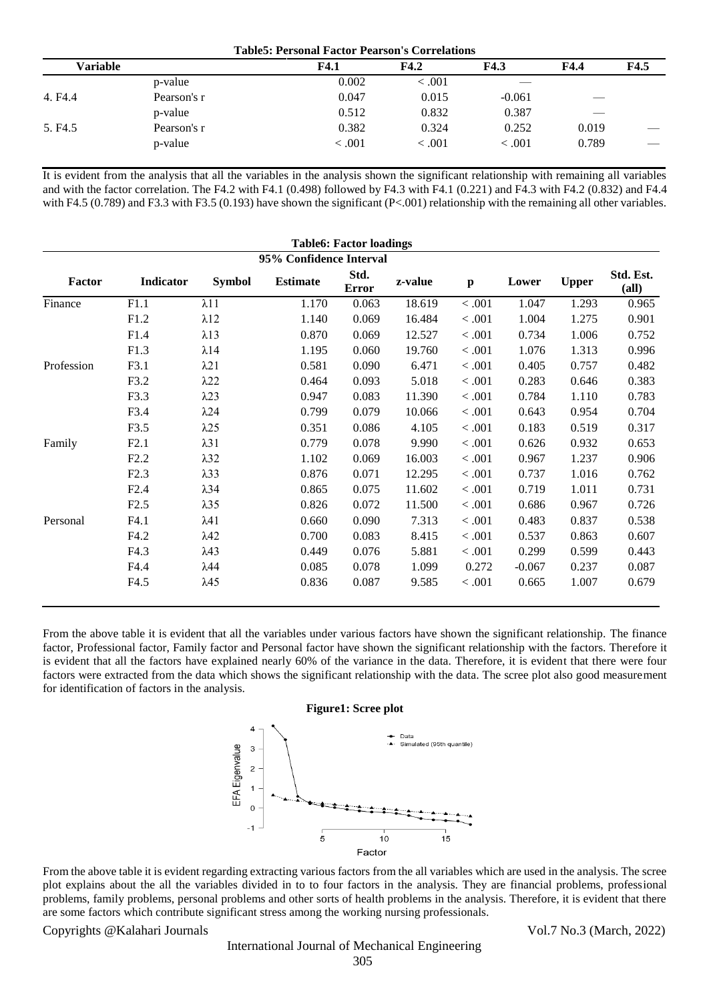| <b>Table5: Personal Factor Pearson's Correlations</b> |             |         |         |             |       |      |  |
|-------------------------------------------------------|-------------|---------|---------|-------------|-------|------|--|
| Variable                                              |             | F4.1    | F4.2    | <b>F4.3</b> | F4.4  | F4.5 |  |
|                                                       | p-value     | 0.002   | < 0.001 |             |       |      |  |
| 4. F4.4                                               | Pearson's r | 0.047   | 0.015   | $-0.061$    | ---   |      |  |
|                                                       | p-value     | 0.512   | 0.832   | 0.387       | __    |      |  |
| 5. F <sub>4.5</sub>                                   | Pearson's r | 0.382   | 0.324   | 0.252       | 0.019 |      |  |
|                                                       | p-value     | < 0.001 | < 0.001 | < 0.001     | 0.789 |      |  |

It is evident from the analysis that all the variables in the analysis shown the significant relationship with remaining all variables and with the factor correlation. The F4.2 with F4.1 (0.498) followed by F4.3 with F4.1 (0.221) and F4.3 with F4.2 (0.832) and F4.4 with F4.5 (0.789) and F3.3 with F3.5 (0.193) have shown the significant (P<.001) relationship with the remaining all other variables.

| <b>Table6: Factor loadings</b> |           |               |                 |                      |         |              |          |              |                               |
|--------------------------------|-----------|---------------|-----------------|----------------------|---------|--------------|----------|--------------|-------------------------------|
| 95% Confidence Interval        |           |               |                 |                      |         |              |          |              |                               |
| Factor                         | Indicator | <b>Symbol</b> | <b>Estimate</b> | Std.<br><b>Error</b> | z-value | $\mathbf{p}$ | Lower    | <b>Upper</b> | Std. Est.<br>$\textbf{(all)}$ |
| Finance                        | F1.1      | $\lambda$ 11  | 1.170           | 0.063                | 18.619  | $<.001$      | 1.047    | 1.293        | 0.965                         |
|                                | F1.2      | $\lambda$ 12  | 1.140           | 0.069                | 16.484  | < 0.001      | 1.004    | 1.275        | 0.901                         |
|                                | F1.4      | $\lambda$ 13  | 0.870           | 0.069                | 12.527  | < 0.001      | 0.734    | 1.006        | 0.752                         |
|                                | F1.3      | $\lambda$ 14  | 1.195           | 0.060                | 19.760  | < 0.001      | 1.076    | 1.313        | 0.996                         |
| Profession                     | F3.1      | $\lambda$ 21  | 0.581           | 0.090                | 6.471   | < .001       | 0.405    | 0.757        | 0.482                         |
|                                | F3.2      | $\lambda$ 22  | 0.464           | 0.093                | 5.018   | < .001       | 0.283    | 0.646        | 0.383                         |
|                                | F3.3      | $\lambda$ 23  | 0.947           | 0.083                | 11.390  | < .001       | 0.784    | 1.110        | 0.783                         |
|                                | F3.4      | $\lambda$ 24  | 0.799           | 0.079                | 10.066  | < 0.001      | 0.643    | 0.954        | 0.704                         |
|                                | F3.5      | $\lambda$ 25  | 0.351           | 0.086                | 4.105   | < 0.001      | 0.183    | 0.519        | 0.317                         |
| Family                         | F2.1      | $\lambda$ 31  | 0.779           | 0.078                | 9.990   | $<.001$      | 0.626    | 0.932        | 0.653                         |
|                                | F2.2      | $\lambda$ 32  | 1.102           | 0.069                | 16.003  | < 0.001      | 0.967    | 1.237        | 0.906                         |
|                                | F2.3      | $\lambda$ 33  | 0.876           | 0.071                | 12.295  | < 0.001      | 0.737    | 1.016        | 0.762                         |
|                                | F2.4      | $\lambda$ 34  | 0.865           | 0.075                | 11.602  | $<.001$      | 0.719    | 1.011        | 0.731                         |
|                                | F2.5      | $\lambda$ 35  | 0.826           | 0.072                | 11.500  | $<.001$      | 0.686    | 0.967        | 0.726                         |
| Personal                       | F4.1      | $\lambda$ 41  | 0.660           | 0.090                | 7.313   | < 0.001      | 0.483    | 0.837        | 0.538                         |
|                                | F4.2      | $\lambda$ 42  | 0.700           | 0.083                | 8.415   | < 0.001      | 0.537    | 0.863        | 0.607                         |
|                                | F4.3      | $\lambda$ 43  | 0.449           | 0.076                | 5.881   | < 0.001      | 0.299    | 0.599        | 0.443                         |
|                                | F4.4      | $\lambda$ 44  | 0.085           | 0.078                | 1.099   | 0.272        | $-0.067$ | 0.237        | 0.087                         |
|                                | F4.5      | $\lambda$ 45  | 0.836           | 0.087                | 9.585   | < 0.001      | 0.665    | 1.007        | 0.679                         |

From the above table it is evident that all the variables under various factors have shown the significant relationship. The finance factor, Professional factor, Family factor and Personal factor have shown the significant relationship with the factors. Therefore it is evident that all the factors have explained nearly 60% of the variance in the data. Therefore, it is evident that there were four factors were extracted from the data which shows the significant relationship with the data. The scree plot also good measurement for identification of factors in the analysis.

#### **Figure1: Scree plot**



From the above table it is evident regarding extracting various factors from the all variables which are used in the analysis. The scree plot explains about the all the variables divided in to to four factors in the analysis. They are financial problems, professional problems, family problems, personal problems and other sorts of health problems in the analysis. Therefore, it is evident that there are some factors which contribute significant stress among the working nursing professionals.

Copyrights @Kalahari Journals Vol.7 No.3 (March, 2022)

International Journal of Mechanical Engineering 305